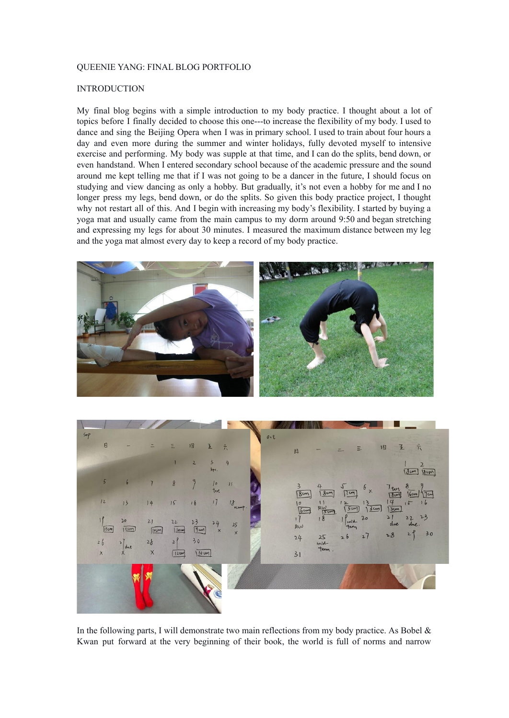#### QUEENIE YANG: FINAL BLOG PORTFOLIO

# INTRODUCTION

My final blog begins with a simple introduction to my body practice. I thought about a lot of topics before I finally decided to choose this one---to increase the flexibility of my body. I used to dance and sing the Beijing Opera when I was in primary school. I used to train about four hours a day and even more during the summer and winter holidays, fully devoted myself to intensive exercise and performing. My body was supple at that time, and I can do the splits, bend down, or even handstand. When I entered secondary school because of the academic pressure and the sound around me kept telling me that if I was not going to be a dancer in the future, I should focus on studying and view dancing as only a hobby. But gradually, it's not even a hobby for me and I no longer press my legs, bend down, or do the splits. So given this body practice project, I thought why not restart all of this. And I begin with increasing my body's flexibility. I started by buying a yoga mat and usually came from the main campus to my dorm around 9:50 and began stretching and expressing my legs for about 30 minutes. I measured the maximum distance between my leg and the yoga mat almost every day to keep a record of my body practice.





In the following parts, I will demonstrate two main reflections from my body practice. As Bobel  $\&$ Kwan put forward at the very beginning of their book, the world is full of norms and narrow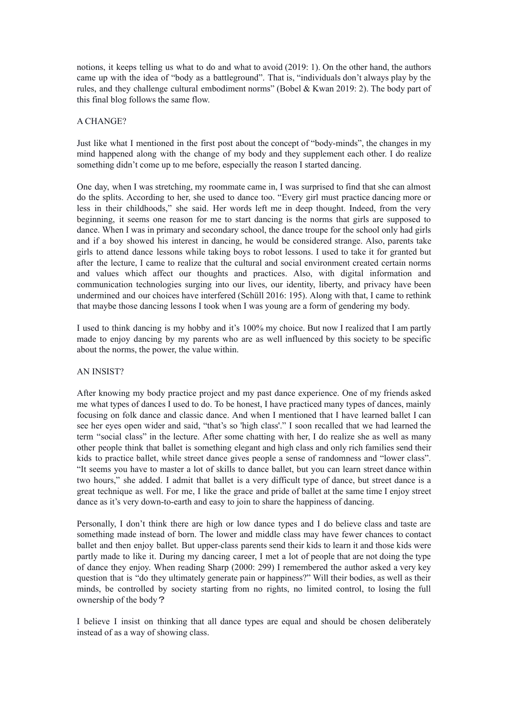notions, it keeps telling us what to do and what to avoid (2019: 1). On the other hand, the authors came up with the idea of "body as a battleground". That is, "individuals don't always play by the rules, and they challenge cultural embodiment norms" (Bobel & Kwan 2019: 2). The body part of this final blog follows the same flow.

## A CHANGE?

Just like what I mentioned in the first post about the concept of "body-minds", the changes in my mind happened along with the change of my body and they supplement each other. I do realize something didn't come up to me before, especially the reason I started dancing.

One day, when I was stretching, my roommate came in, I was surprised to find that she can almost do the splits. According to her, she used to dance too. "Every girl must practice dancing more or less in their childhoods," she said. Her words left me in deep thought. Indeed, from the very beginning, it seems one reason for me to start dancing is the norms that girls are supposed to dance. When I was in primary and secondary school, the dance troupe for the school only had girls and if a boy showed his interest in dancing, he would be considered strange. Also, parents take girls to attend dance lessons while taking boys to robot lessons. I used to take it for granted but after the lecture, I came to realize that the cultural and social environment created certain norms and values which affect our thoughts and practices. Also, with digital information and communication technologies surging into our lives, our identity, liberty, and privacy have been undermined and our choices have interfered (Schüll 2016: 195). Along with that, I came to rethink that maybe those dancing lessons I took when I was young are a form of gendering my body.

I used to think dancing is my hobby and it's 100% my choice. But now I realized that I am partly made to enjoy dancing by my parents who are as well influenced by this society to be specific about the norms, the power, the value within.

#### AN INSIST?

After knowing my body practice project and my past dance experience. One of my friends asked me what types of dances I used to do. To be honest, I have practiced many types of dances, mainly focusing on folk dance and classic dance. And when I mentioned that I have learned ballet I can see her eyes open wider and said, "that's so 'high class'." I soon recalled that we had learned the term "social class" in the lecture. After some chatting with her, I do realize she as well as many other people think that ballet is something elegant and high class and only rich families send their kids to practice ballet, while street dance gives people a sense of randomness and "lower class". "It seems you have to master a lot of skills to dance ballet, but you can learn street dance within two hours," she added. I admit that ballet is a very difficult type of dance, but street dance is a great technique as well. For me, I like the grace and pride of ballet at the same time I enjoy street dance as it's very down-to-earth and easy to join to share the happiness of dancing.

Personally, I don't think there are high or low dance types and I do believe class and taste are something made instead of born. The lower and middle class may have fewer chances to contact ballet and then enjoy ballet. But upper-class parents send their kids to learn it and those kids were partly made to like it. During my dancing career, I met a lot of people that are not doing the type of dance they enjoy. When reading Sharp (2000: 299) I remembered the author asked a very key question that is "do they ultimately generate pain or happiness?" Will their bodies, as well as their minds, be controlled by society starting from no rights, no limited control, to losing the full ownership of the body?

I believe I insist on thinking that all dance types are equal and should be chosen deliberately instead of as a way of showing class.